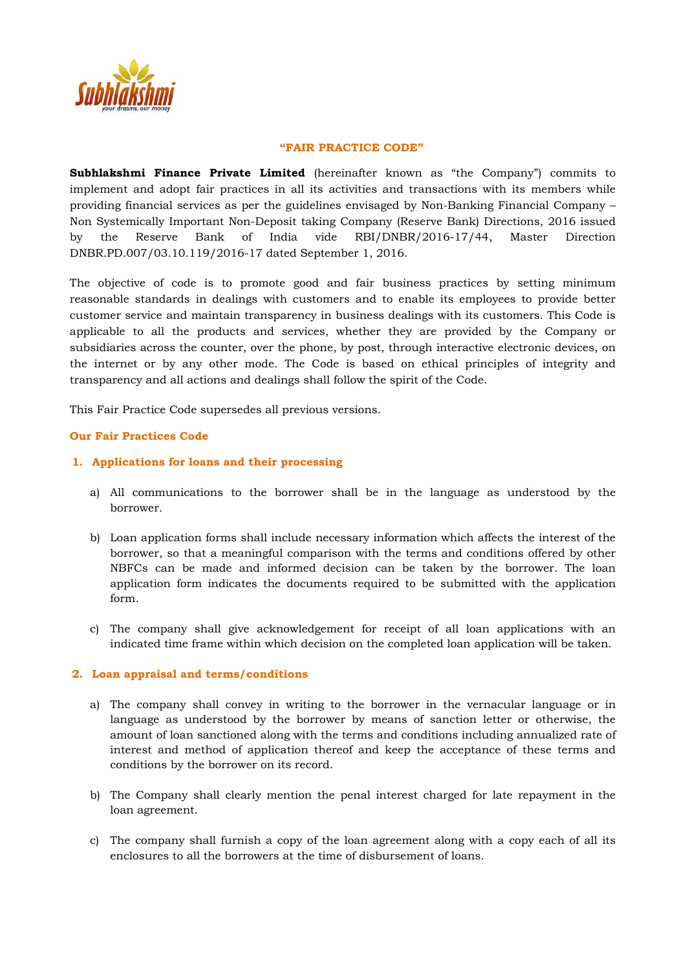

## **"FAIR PRACTICE CODE"**

**Subhlakshmi Finance Private Limited** (hereinafter known as "the Company") commits to implement and adopt fair practices in all its activities and transactions with its members while providing financial services as per the guidelines envisaged by Non-Banking Financial Company – Non Systemically Important Non-Deposit taking Company (Reserve Bank) Directions, 2016 issued by the Reserve Bank of India vide RBI/DNBR/2016-17/44, Master Direction DNBR.PD.007/03.10.119/2016-17 dated September 1, 2016.

The objective of code is to promote good and fair business practices by setting minimum reasonable standards in dealings with customers and to enable its employees to provide better customer service and maintain transparency in business dealings with its customers. This Code is applicable to all the products and services, whether they are provided by the Company or subsidiaries across the counter, over the phone, by post, through interactive electronic devices, on the internet or by any other mode. The Code is based on ethical principles of integrity and transparency and all actions and dealings shall follow the spirit of the Code.

This Fair Practice Code supersedes all previous versions.

## **Our Fair Practices Code**

## **1. Applications for loans and their processing**

- a) All communications to the borrower shall be in the language as understood by the borrower.
- b) Loan application forms shall include necessary information which affects the interest of the borrower, so that a meaningful comparison with the terms and conditions offered by other NBFCs can be made and informed decision can be taken by the borrower. The loan application form indicates the documents required to be submitted with the application form.
- c) The company shall give acknowledgement for receipt of all loan applications with an indicated time frame within which decision on the completed loan application will be taken.

## **2. Loan appraisal and terms/conditions**

- a) The company shall convey in writing to the borrower in the vernacular language or in language as understood by the borrower by means of sanction letter or otherwise, the amount of loan sanctioned along with the terms and conditions including annualized rate of interest and method of application thereof and keep the acceptance of these terms and conditions by the borrower on its record.
- b) The Company shall clearly mention the penal interest charged for late repayment in the loan agreement.
- c) The company shall furnish a copy of the loan agreement along with a copy each of all its enclosures to all the borrowers at the time of disbursement of loans.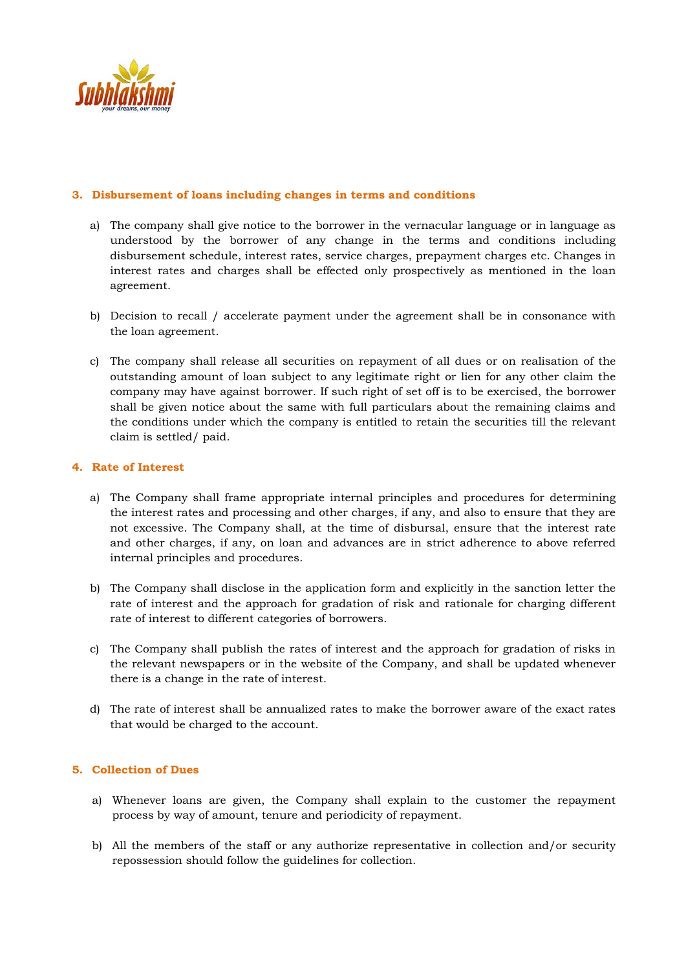

# **3. Disbursement of loans including changes in terms and conditions**

- a) The company shall give notice to the borrower in the vernacular language or in language as understood by the borrower of any change in the terms and conditions including disbursement schedule, interest rates, service charges, prepayment charges etc. Changes in interest rates and charges shall be effected only prospectively as mentioned in the loan agreement.
- b) Decision to recall / accelerate payment under the agreement shall be in consonance with the loan agreement.
- c) The company shall release all securities on repayment of all dues or on realisation of the outstanding amount of loan subject to any legitimate right or lien for any other claim the company may have against borrower. If such right of set off is to be exercised, the borrower shall be given notice about the same with full particulars about the remaining claims and the conditions under which the company is entitled to retain the securities till the relevant claim is settled/ paid.

# **4. Rate of Interest**

- a) The Company shall frame appropriate internal principles and procedures for determining the interest rates and processing and other charges, if any, and also to ensure that they are not excessive. The Company shall, at the time of disbursal, ensure that the interest rate and other charges, if any, on loan and advances are in strict adherence to above referred internal principles and procedures.
- b) The Company shall disclose in the application form and explicitly in the sanction letter the rate of interest and the approach for gradation of risk and rationale for charging different rate of interest to different categories of borrowers.
- c) The Company shall publish the rates of interest and the approach for gradation of risks in the relevant newspapers or in the website of the Company, and shall be updated whenever there is a change in the rate of interest.
- d) The rate of interest shall be annualized rates to make the borrower aware of the exact rates that would be charged to the account.

# **5. Collection of Dues**

- a) Whenever loans are given, the Company shall explain to the customer the repayment process by way of amount, tenure and periodicity of repayment.
- b) All the members of the staff or any authorize representative in collection and/or security repossession should follow the guidelines for collection.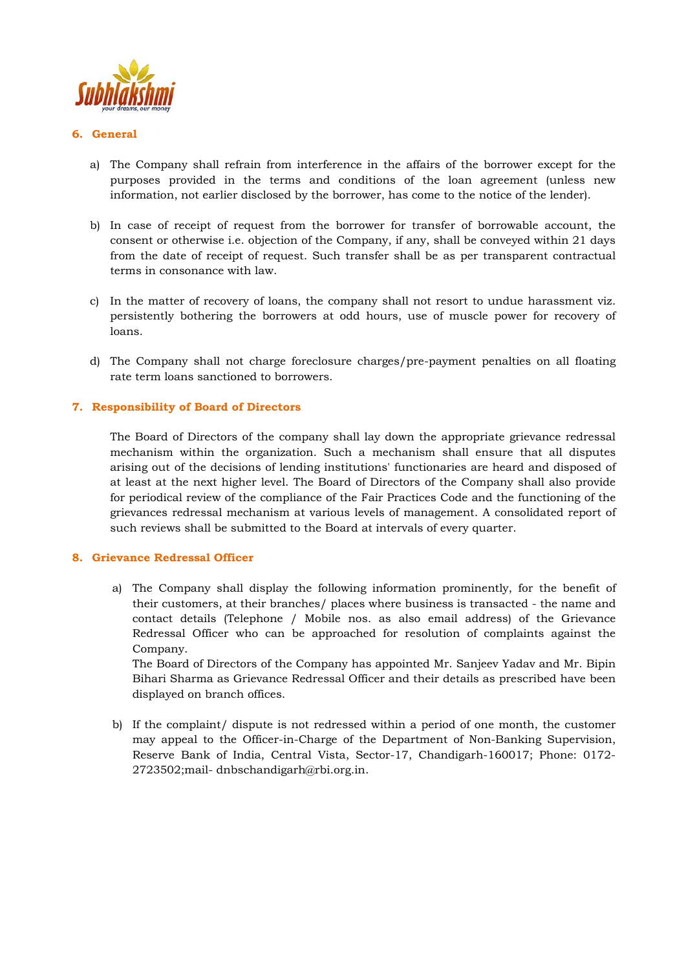

## **6. General**

- a) The Company shall refrain from interference in the affairs of the borrower except for the purposes provided in the terms and conditions of the loan agreement (unless new information, not earlier disclosed by the borrower, has come to the notice of the lender).
- b) In case of receipt of request from the borrower for transfer of borrowable account, the consent or otherwise i.e. objection of the Company, if any, shall be conveyed within 21 days from the date of receipt of request. Such transfer shall be as per transparent contractual terms in consonance with law.
- c) In the matter of recovery of loans, the company shall not resort to undue harassment viz. persistently bothering the borrowers at odd hours, use of muscle power for recovery of loans.
- d) The Company shall not charge foreclosure charges/pre-payment penalties on all floating rate term loans sanctioned to borrowers.

## **7. Responsibility of Board of Directors**

The Board of Directors of the company shall lay down the appropriate grievance redressal mechanism within the organization. Such a mechanism shall ensure that all disputes arising out of the decisions of lending institutions' functionaries are heard and disposed of at least at the next higher level. The Board of Directors of the Company shall also provide for periodical review of the compliance of the Fair Practices Code and the functioning of the grievances redressal mechanism at various levels of management. A consolidated report of such reviews shall be submitted to the Board at intervals of every quarter.

## **8. Grievance Redressal Officer**

a) The Company shall display the following information prominently, for the benefit of their customers, at their branches/ places where business is transacted - the name and contact details (Telephone / Mobile nos. as also email address) of the Grievance Redressal Officer who can be approached for resolution of complaints against the Company.

The Board of Directors of the Company has appointed Mr. Sanjeev Yadav and Mr. Bipin Bihari Sharma as Grievance Redressal Officer and their details as prescribed have been displayed on branch offices.

b) If the complaint/ dispute is not redressed within a period of one month, the customer may appeal to the Officer-in-Charge of the Department of Non-Banking Supervision, Reserve Bank of India, Central Vista, Sector-17, Chandigarh-160017; Phone: 0172- 2723502;mail- dnbschandigarh@rbi.org.in.